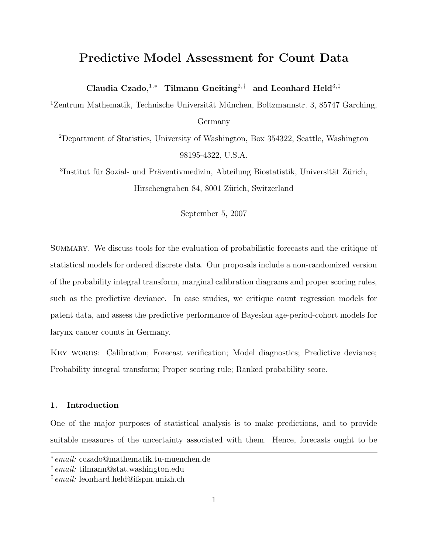# Predictive Model Assessment for Count Data

Claudia Czado,<sup>1,∗</sup> Tilmann Gneiting<sup>2,†</sup> and Leonhard Held<sup>3,‡</sup>

 $1$ Zentrum Mathematik, Technische Universität München, Boltzmannstr. 3, 85747 Garching, Germany

<sup>2</sup>Department of Statistics, University of Washington, Box 354322, Seattle, Washington 98195-4322, U.S.A.

<sup>3</sup>Institut für Sozial- und Präventivmedizin, Abteilung Biostatistik, Universität Zürich, Hirschengraben 84, 8001 Zürich, Switzerland

September 5, 2007

Summary. We discuss tools for the evaluation of probabilistic forecasts and the critique of statistical models for ordered discrete data. Our proposals include a non-randomized version of the probability integral transform, marginal calibration diagrams and proper scoring rules, such as the predictive deviance. In case studies, we critique count regression models for patent data, and assess the predictive performance of Bayesian age-period-cohort models for larynx cancer counts in Germany.

Key words: Calibration; Forecast verification; Model diagnostics; Predictive deviance; Probability integral transform; Proper scoring rule; Ranked probability score.

# 1. Introduction

One of the major purposes of statistical analysis is to make predictions, and to provide suitable measures of the uncertainty associated with them. Hence, forecasts ought to be

<sup>∗</sup> email: cczado@mathematik.tu-muenchen.de

<sup>†</sup> email: tilmann@stat.washington.edu

<sup>‡</sup> email: leonhard.held@ifspm.unizh.ch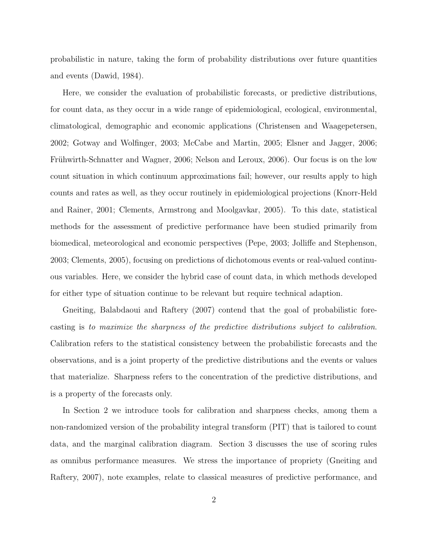probabilistic in nature, taking the form of probability distributions over future quantities and events (Dawid, 1984).

Here, we consider the evaluation of probabilistic forecasts, or predictive distributions, for count data, as they occur in a wide range of epidemiological, ecological, environmental, climatological, demographic and economic applications (Christensen and Waagepetersen, 2002; Gotway and Wolfinger, 2003; McCabe and Martin, 2005; Elsner and Jagger, 2006; Frühwirth-Schnatter and Wagner, 2006; Nelson and Leroux, 2006). Our focus is on the low count situation in which continuum approximations fail; however, our results apply to high counts and rates as well, as they occur routinely in epidemiological projections (Knorr-Held and Rainer, 2001; Clements, Armstrong and Moolgavkar, 2005). To this date, statistical methods for the assessment of predictive performance have been studied primarily from biomedical, meteorological and economic perspectives (Pepe, 2003; Jolliffe and Stephenson, 2003; Clements, 2005), focusing on predictions of dichotomous events or real-valued continuous variables. Here, we consider the hybrid case of count data, in which methods developed for either type of situation continue to be relevant but require technical adaption.

Gneiting, Balabdaoui and Raftery (2007) contend that the goal of probabilistic forecasting is to maximize the sharpness of the predictive distributions subject to calibration. Calibration refers to the statistical consistency between the probabilistic forecasts and the observations, and is a joint property of the predictive distributions and the events or values that materialize. Sharpness refers to the concentration of the predictive distributions, and is a property of the forecasts only.

In Section 2 we introduce tools for calibration and sharpness checks, among them a non-randomized version of the probability integral transform (PIT) that is tailored to count data, and the marginal calibration diagram. Section 3 discusses the use of scoring rules as omnibus performance measures. We stress the importance of propriety (Gneiting and Raftery, 2007), note examples, relate to classical measures of predictive performance, and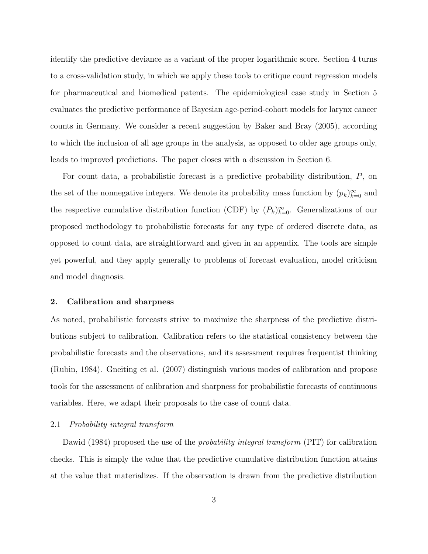identify the predictive deviance as a variant of the proper logarithmic score. Section 4 turns to a cross-validation study, in which we apply these tools to critique count regression models for pharmaceutical and biomedical patents. The epidemiological case study in Section 5 evaluates the predictive performance of Bayesian age-period-cohort models for larynx cancer counts in Germany. We consider a recent suggestion by Baker and Bray (2005), according to which the inclusion of all age groups in the analysis, as opposed to older age groups only, leads to improved predictions. The paper closes with a discussion in Section 6.

For count data, a probabilistic forecast is a predictive probability distribution, P, on the set of the nonnegative integers. We denote its probability mass function by  $(p_k)_{k=0}^{\infty}$  and the respective cumulative distribution function (CDF) by  $(P_k)_{k=0}^{\infty}$ . Generalizations of our proposed methodology to probabilistic forecasts for any type of ordered discrete data, as opposed to count data, are straightforward and given in an appendix. The tools are simple yet powerful, and they apply generally to problems of forecast evaluation, model criticism and model diagnosis.

# 2. Calibration and sharpness

As noted, probabilistic forecasts strive to maximize the sharpness of the predictive distributions subject to calibration. Calibration refers to the statistical consistency between the probabilistic forecasts and the observations, and its assessment requires frequentist thinking (Rubin, 1984). Gneiting et al. (2007) distinguish various modes of calibration and propose tools for the assessment of calibration and sharpness for probabilistic forecasts of continuous variables. Here, we adapt their proposals to the case of count data.

# 2.1 Probability integral transform

Dawid (1984) proposed the use of the *probability integral transform* (PIT) for calibration checks. This is simply the value that the predictive cumulative distribution function attains at the value that materializes. If the observation is drawn from the predictive distribution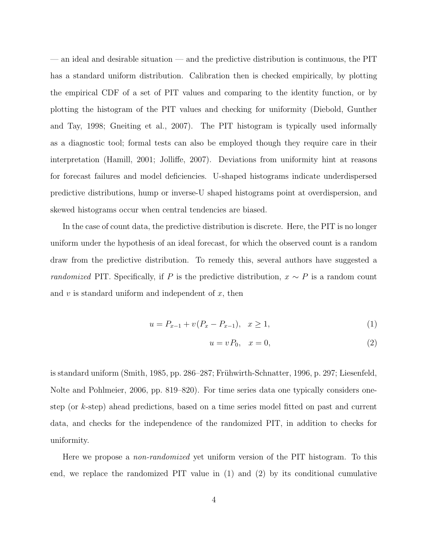— an ideal and desirable situation — and the predictive distribution is continuous, the PIT has a standard uniform distribution. Calibration then is checked empirically, by plotting the empirical CDF of a set of PIT values and comparing to the identity function, or by plotting the histogram of the PIT values and checking for uniformity (Diebold, Gunther and Tay, 1998; Gneiting et al., 2007). The PIT histogram is typically used informally as a diagnostic tool; formal tests can also be employed though they require care in their interpretation (Hamill, 2001; Jolliffe, 2007). Deviations from uniformity hint at reasons for forecast failures and model deficiencies. U-shaped histograms indicate underdispersed predictive distributions, hump or inverse-U shaped histograms point at overdispersion, and skewed histograms occur when central tendencies are biased.

In the case of count data, the predictive distribution is discrete. Here, the PIT is no longer uniform under the hypothesis of an ideal forecast, for which the observed count is a random draw from the predictive distribution. To remedy this, several authors have suggested a *randomized* PIT. Specifically, if P is the predictive distribution,  $x \sim P$  is a random count and  $v$  is standard uniform and independent of  $x$ , then

$$
u = P_{x-1} + v(P_x - P_{x-1}), \quad x \ge 1,
$$
\n<sup>(1)</sup>

$$
u = vP_0, \quad x = 0,\tag{2}
$$

is standard uniform (Smith, 1985, pp. 286–287; Frühwirth-Schnatter, 1996, p. 297; Liesenfeld, Nolte and Pohlmeier, 2006, pp. 819–820). For time series data one typically considers onestep (or k-step) ahead predictions, based on a time series model fitted on past and current data, and checks for the independence of the randomized PIT, in addition to checks for uniformity.

Here we propose a *non-randomized* yet uniform version of the PIT histogram. To this end, we replace the randomized PIT value in (1) and (2) by its conditional cumulative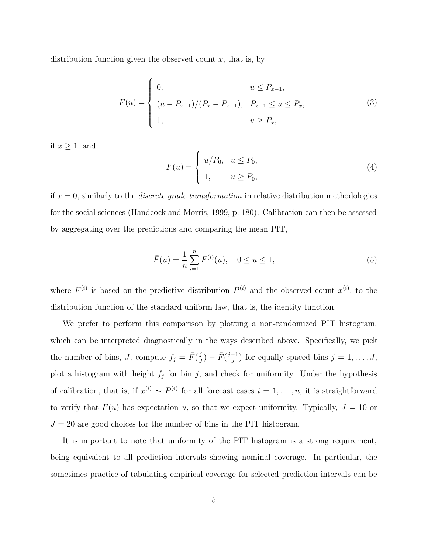distribution function given the observed count  $x$ , that is, by

$$
F(u) = \begin{cases} 0, & u \le P_{x-1}, \\ (u - P_{x-1})/(P_x - P_{x-1}), & P_{x-1} \le u \le P_x, \\ 1, & u \ge P_x, \end{cases}
$$
(3)

if  $x \geq 1$ , and

$$
F(u) = \begin{cases} u/P_0, & u \le P_0, \\ 1, & u \ge P_0, \end{cases}
$$
 (4)

if  $x = 0$ , similarly to the *discrete grade transformation* in relative distribution methodologies for the social sciences (Handcock and Morris, 1999, p. 180). Calibration can then be assessed by aggregating over the predictions and comparing the mean PIT,

$$
\bar{F}(u) = \frac{1}{n} \sum_{i=1}^{n} F^{(i)}(u), \quad 0 \le u \le 1,
$$
\n(5)

where  $F^{(i)}$  is based on the predictive distribution  $P^{(i)}$  and the observed count  $x^{(i)}$ , to the distribution function of the standard uniform law, that is, the identity function.

We prefer to perform this comparison by plotting a non-randomized PIT histogram, which can be interpreted diagnostically in the ways described above. Specifically, we pick the number of bins, J, compute  $f_j = \bar{F}(\frac{j}{J})$  $\frac{j}{J}$ ) –  $\bar{F}(\frac{j-1}{J})$  $\frac{-1}{J}$ ) for equally spaced bins  $j = 1, \ldots, J$ , plot a histogram with height  $f_j$  for bin j, and check for uniformity. Under the hypothesis of calibration, that is, if  $x^{(i)} \sim P^{(i)}$  for all forecast cases  $i = 1, \ldots, n$ , it is straightforward to verify that  $\bar{F}(u)$  has expectation u, so that we expect uniformity. Typically,  $J = 10$  or  $J = 20$  are good choices for the number of bins in the PIT histogram.

It is important to note that uniformity of the PIT histogram is a strong requirement, being equivalent to all prediction intervals showing nominal coverage. In particular, the sometimes practice of tabulating empirical coverage for selected prediction intervals can be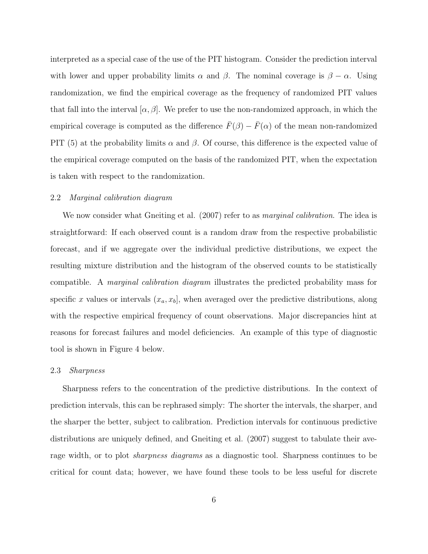interpreted as a special case of the use of the PIT histogram. Consider the prediction interval with lower and upper probability limits  $\alpha$  and  $\beta$ . The nominal coverage is  $\beta - \alpha$ . Using randomization, we find the empirical coverage as the frequency of randomized PIT values that fall into the interval  $\alpha, \beta$ . We prefer to use the non-randomized approach, in which the empirical coverage is computed as the difference  $\bar{F}(\beta) - \bar{F}(\alpha)$  of the mean non-randomized PIT (5) at the probability limits  $\alpha$  and  $\beta$ . Of course, this difference is the expected value of the empirical coverage computed on the basis of the randomized PIT, when the expectation is taken with respect to the randomization.

# 2.2 Marginal calibration diagram

We now consider what Gneiting et al. (2007) refer to as *marginal calibration*. The idea is straightforward: If each observed count is a random draw from the respective probabilistic forecast, and if we aggregate over the individual predictive distributions, we expect the resulting mixture distribution and the histogram of the observed counts to be statistically compatible. A marginal calibration diagram illustrates the predicted probability mass for specific x values or intervals  $(x_a, x_b]$ , when averaged over the predictive distributions, along with the respective empirical frequency of count observations. Major discrepancies hint at reasons for forecast failures and model deficiencies. An example of this type of diagnostic tool is shown in Figure 4 below.

#### 2.3 Sharpness

Sharpness refers to the concentration of the predictive distributions. In the context of prediction intervals, this can be rephrased simply: The shorter the intervals, the sharper, and the sharper the better, subject to calibration. Prediction intervals for continuous predictive distributions are uniquely defined, and Gneiting et al. (2007) suggest to tabulate their average width, or to plot *sharpness diagrams* as a diagnostic tool. Sharpness continues to be critical for count data; however, we have found these tools to be less useful for discrete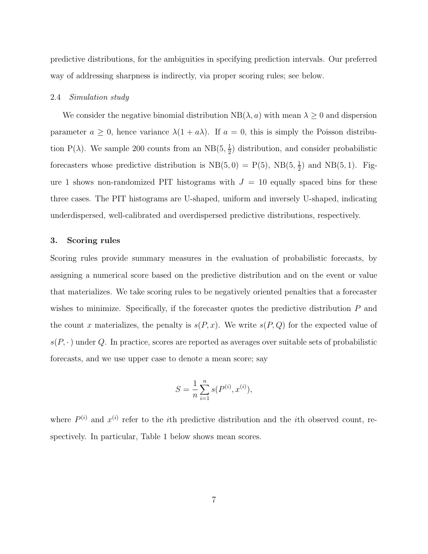predictive distributions, for the ambiguities in specifying prediction intervals. Our preferred way of addressing sharpness is indirectly, via proper scoring rules; see below.

#### 2.4 Simulation study

We consider the negative binomial distribution  $NB(\lambda, a)$  with mean  $\lambda \geq 0$  and dispersion parameter  $a \geq 0$ , hence variance  $\lambda(1 + a\lambda)$ . If  $a = 0$ , this is simply the Poisson distribution P( $\lambda$ ). We sample 200 counts from an NB( $5, \frac{1}{2}$  $\frac{1}{2}$ ) distribution, and consider probabilistic forecasters whose predictive distribution is  $NB(5,0) = P(5)$ ,  $NB(5, \frac{1}{2})$  $(\frac{1}{2})$  and NB $(5,1)$ . Figure 1 shows non-randomized PIT histograms with  $J = 10$  equally spaced bins for these three cases. The PIT histograms are U-shaped, uniform and inversely U-shaped, indicating underdispersed, well-calibrated and overdispersed predictive distributions, respectively.

## 3. Scoring rules

Scoring rules provide summary measures in the evaluation of probabilistic forecasts, by assigning a numerical score based on the predictive distribution and on the event or value that materializes. We take scoring rules to be negatively oriented penalties that a forecaster wishes to minimize. Specifically, if the forecaster quotes the predictive distribution  $P$  and the count x materializes, the penalty is  $s(P, x)$ . We write  $s(P, Q)$  for the expected value of  $s(P, \cdot)$  under Q. In practice, scores are reported as averages over suitable sets of probabilistic forecasts, and we use upper case to denote a mean score; say

$$
S = \frac{1}{n} \sum_{i=1}^{n} s(P^{(i)}, x^{(i)}),
$$

where  $P^{(i)}$  and  $x^{(i)}$  refer to the *i*th predictive distribution and the *i*th observed count, respectively. In particular, Table 1 below shows mean scores.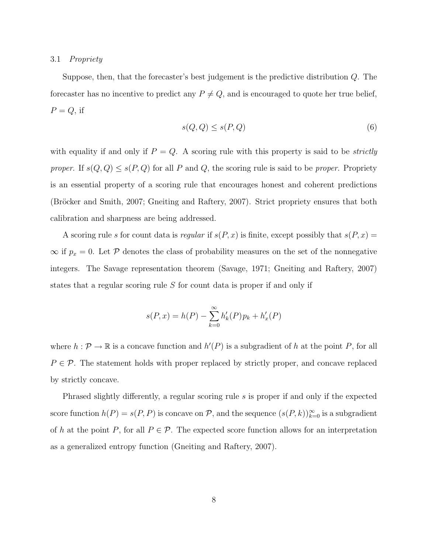# 3.1 Propriety

Suppose, then, that the forecaster's best judgement is the predictive distribution Q. The forecaster has no incentive to predict any  $P \neq Q$ , and is encouraged to quote her true belief,  $P = Q$ , if

$$
s(Q, Q) \le s(P, Q) \tag{6}
$$

with equality if and only if  $P = Q$ . A scoring rule with this property is said to be *strictly* proper. If  $s(Q, Q) \leq s(P, Q)$  for all P and Q, the scoring rule is said to be proper. Propriety is an essential property of a scoring rule that encourages honest and coherent predictions (Bröcker and Smith, 2007; Gneiting and Raftery, 2007). Strict propriety ensures that both calibration and sharpness are being addressed.

A scoring rule s for count data is regular if  $s(P, x)$  is finite, except possibly that  $s(P, x) =$  $\infty$  if  $p_x = 0$ . Let P denotes the class of probability measures on the set of the nonnegative integers. The Savage representation theorem (Savage, 1971; Gneiting and Raftery, 2007) states that a regular scoring rule S for count data is proper if and only if

$$
s(P, x) = h(P) - \sum_{k=0}^{\infty} h'_k(P) p_k + h'_x(P)
$$

where  $h: \mathcal{P} \to \mathbb{R}$  is a concave function and  $h'(P)$  is a subgradient of h at the point P, for all  $P \in \mathcal{P}$ . The statement holds with proper replaced by strictly proper, and concave replaced by strictly concave.

Phrased slightly differently, a regular scoring rule s is proper if and only if the expected score function  $h(P) = s(P, P)$  is concave on P, and the sequence  $(s(P, k))_{k=0}^{\infty}$  is a subgradient of h at the point P, for all  $P \in \mathcal{P}$ . The expected score function allows for an interpretation as a generalized entropy function (Gneiting and Raftery, 2007).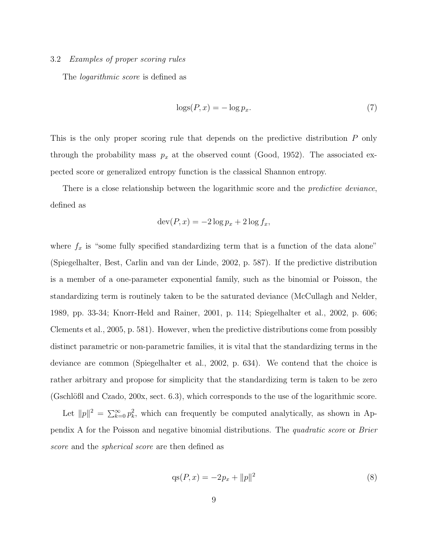## 3.2 Examples of proper scoring rules

The *logarithmic score* is defined as

$$
\log(S(P, x)) = -\log p_x. \tag{7}
$$

This is the only proper scoring rule that depends on the predictive distribution P only through the probability mass  $p_x$  at the observed count (Good, 1952). The associated expected score or generalized entropy function is the classical Shannon entropy.

There is a close relationship between the logarithmic score and the *predictive deviance*, defined as

$$
\operatorname{dev}(P, x) = -2\log p_x + 2\log f_x,
$$

where  $f_x$  is "some fully specified standardizing term that is a function of the data alone" (Spiegelhalter, Best, Carlin and van der Linde, 2002, p. 587). If the predictive distribution is a member of a one-parameter exponential family, such as the binomial or Poisson, the standardizing term is routinely taken to be the saturated deviance (McCullagh and Nelder, 1989, pp. 33-34; Knorr-Held and Rainer, 2001, p. 114; Spiegelhalter et al., 2002, p. 606; Clements et al., 2005, p. 581). However, when the predictive distributions come from possibly distinct parametric or non-parametric families, it is vital that the standardizing terms in the deviance are common (Spiegelhalter et al., 2002, p. 634). We contend that the choice is rather arbitrary and propose for simplicity that the standardizing term is taken to be zero  $(G\text{schlöBl and Czado, 200x, sect. 6.3),$  which corresponds to the use of the logarithmic score.

Let  $||p||^2 = \sum_{k=0}^{\infty} p_k^2$ , which can frequently be computed analytically, as shown in Appendix A for the Poisson and negative binomial distributions. The quadratic score or Brier score and the *spherical score* are then defined as

$$
qs(P, x) = -2p_x + ||p||^2
$$
\n(8)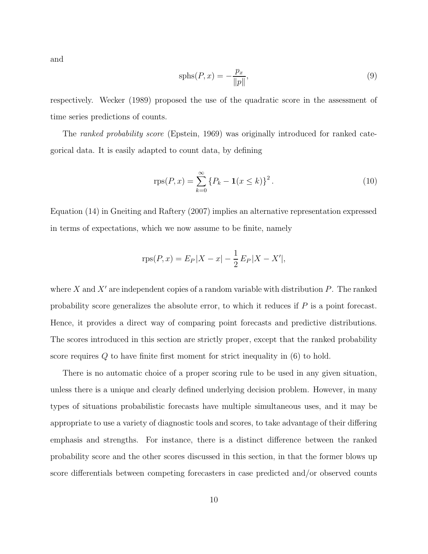and

$$
sphs(P, x) = -\frac{p_x}{\|p\|},\tag{9}
$$

respectively. Wecker (1989) proposed the use of the quadratic score in the assessment of time series predictions of counts.

The *ranked probability score* (Epstein, 1969) was originally introduced for ranked categorical data. It is easily adapted to count data, by defining

$$
rps(P, x) = \sum_{k=0}^{\infty} \{P_k - \mathbf{1}(x \le k)\}^2.
$$
 (10)

Equation (14) in Gneiting and Raftery (2007) implies an alternative representation expressed in terms of expectations, which we now assume to be finite, namely

$$
rps(P, x) = E_P|X - x| - \frac{1}{2}E_P|X - X'|,
$$

where X and X' are independent copies of a random variable with distribution  $P$ . The ranked probability score generalizes the absolute error, to which it reduces if  $P$  is a point forecast. Hence, it provides a direct way of comparing point forecasts and predictive distributions. The scores introduced in this section are strictly proper, except that the ranked probability score requires Q to have finite first moment for strict inequality in (6) to hold.

There is no automatic choice of a proper scoring rule to be used in any given situation, unless there is a unique and clearly defined underlying decision problem. However, in many types of situations probabilistic forecasts have multiple simultaneous uses, and it may be appropriate to use a variety of diagnostic tools and scores, to take advantage of their differing emphasis and strengths. For instance, there is a distinct difference between the ranked probability score and the other scores discussed in this section, in that the former blows up score differentials between competing forecasters in case predicted and/or observed counts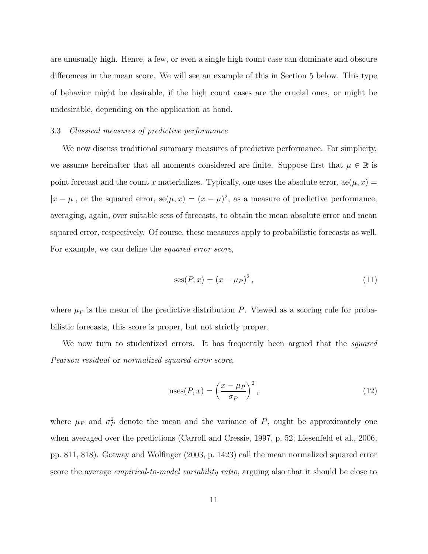are unusually high. Hence, a few, or even a single high count case can dominate and obscure differences in the mean score. We will see an example of this in Section 5 below. This type of behavior might be desirable, if the high count cases are the crucial ones, or might be undesirable, depending on the application at hand.

# 3.3 Classical measures of predictive performance

We now discuss traditional summary measures of predictive performance. For simplicity, we assume hereinafter that all moments considered are finite. Suppose first that  $\mu \in \mathbb{R}$  is point forecast and the count x materializes. Typically, one uses the absolute error,  $ae(\mu, x) =$  $|x - \mu|$ , or the squared error,  $se(\mu, x) = (x - \mu)^2$ , as a measure of predictive performance, averaging, again, over suitable sets of forecasts, to obtain the mean absolute error and mean squared error, respectively. Of course, these measures apply to probabilistic forecasts as well. For example, we can define the *squared error score*,

$$
ses(P, x) = (x - \mu_P)^2, \tag{11}
$$

where  $\mu_P$  is the mean of the predictive distribution P. Viewed as a scoring rule for probabilistic forecasts, this score is proper, but not strictly proper.

We now turn to studentized errors. It has frequently been argued that the *squared* Pearson residual or normalized squared error score,

$$
\operatorname{nses}(P, x) = \left(\frac{x - \mu_P}{\sigma_P}\right)^2,\tag{12}
$$

where  $\mu_P$  and  $\sigma_P^2$  denote the mean and the variance of P, ought be approximately one when averaged over the predictions (Carroll and Cressie, 1997, p. 52; Liesenfeld et al., 2006, pp. 811, 818). Gotway and Wolfinger (2003, p. 1423) call the mean normalized squared error score the average *empirical-to-model variability ratio*, arguing also that it should be close to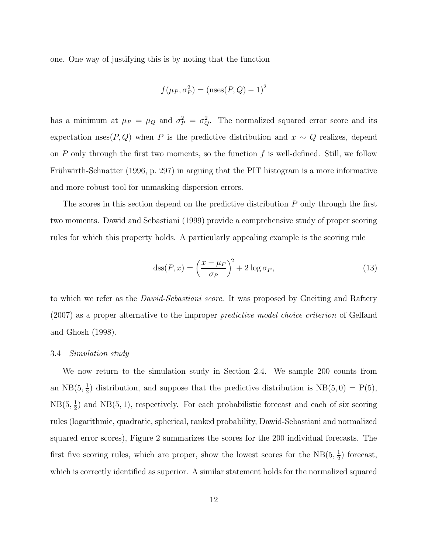one. One way of justifying this is by noting that the function

$$
f(\mu_P, \sigma_P^2) = (\text{nses}(P, Q) - 1)^2
$$

has a minimum at  $\mu_P = \mu_Q$  and  $\sigma_P^2 = \sigma_Q^2$ . The normalized squared error score and its expectation nses $(P, Q)$  when P is the predictive distribution and  $x \sim Q$  realizes, depend on P only through the first two moments, so the function  $f$  is well-defined. Still, we follow Frühwirth-Schnatter (1996, p. 297) in arguing that the PIT histogram is a more informative and more robust tool for unmasking dispersion errors.

The scores in this section depend on the predictive distribution P only through the first two moments. Dawid and Sebastiani (1999) provide a comprehensive study of proper scoring rules for which this property holds. A particularly appealing example is the scoring rule

$$
\text{dss}(P, x) = \left(\frac{x - \mu_P}{\sigma_P}\right)^2 + 2\log \sigma_P,\tag{13}
$$

to which we refer as the *Dawid-Sebastiani score*. It was proposed by Gneiting and Raftery (2007) as a proper alternative to the improper predictive model choice criterion of Gelfand and Ghosh (1998).

#### 3.4 Simulation study

We now return to the simulation study in Section 2.4. We sample 200 counts from an NB $(5, \frac{1}{2})$  $\frac{1}{2}$ ) distribution, and suppose that the predictive distribution is  $NB(5,0) = P(5)$ ,  $NB(5, \frac{1}{2})$  $\frac{1}{2}$ ) and NB(5, 1), respectively. For each probabilistic forecast and each of six scoring rules (logarithmic, quadratic, spherical, ranked probability, Dawid-Sebastiani and normalized squared error scores), Figure 2 summarizes the scores for the 200 individual forecasts. The first five scoring rules, which are proper, show the lowest scores for the  $NB(5, \frac{1}{2})$  $(\frac{1}{2})$  forecast, which is correctly identified as superior. A similar statement holds for the normalized squared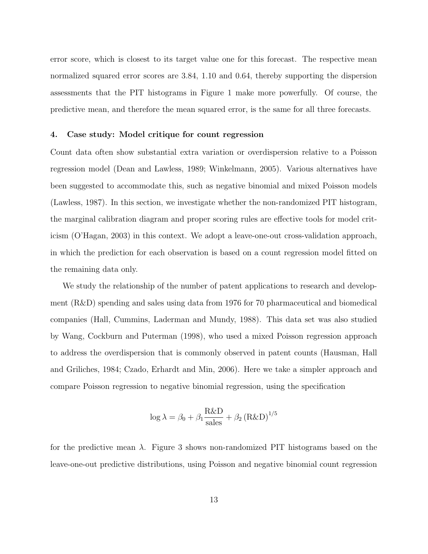error score, which is closest to its target value one for this forecast. The respective mean normalized squared error scores are 3.84, 1.10 and 0.64, thereby supporting the dispersion assessments that the PIT histograms in Figure 1 make more powerfully. Of course, the predictive mean, and therefore the mean squared error, is the same for all three forecasts.

#### 4. Case study: Model critique for count regression

Count data often show substantial extra variation or overdispersion relative to a Poisson regression model (Dean and Lawless, 1989; Winkelmann, 2005). Various alternatives have been suggested to accommodate this, such as negative binomial and mixed Poisson models (Lawless, 1987). In this section, we investigate whether the non-randomized PIT histogram, the marginal calibration diagram and proper scoring rules are effective tools for model criticism (O'Hagan, 2003) in this context. We adopt a leave-one-out cross-validation approach, in which the prediction for each observation is based on a count regression model fitted on the remaining data only.

We study the relationship of the number of patent applications to research and development (R&D) spending and sales using data from 1976 for 70 pharmaceutical and biomedical companies (Hall, Cummins, Laderman and Mundy, 1988). This data set was also studied by Wang, Cockburn and Puterman (1998), who used a mixed Poisson regression approach to address the overdispersion that is commonly observed in patent counts (Hausman, Hall and Griliches, 1984; Czado, Erhardt and Min, 2006). Here we take a simpler approach and compare Poisson regression to negative binomial regression, using the specification

$$
\log \lambda = \beta_0 + \beta_1 \frac{\text{R\&D}}{\text{sales}} + \beta_2 (\text{R\&D})^{1/5}
$$

for the predictive mean  $\lambda$ . Figure 3 shows non-randomized PIT histograms based on the leave-one-out predictive distributions, using Poisson and negative binomial count regression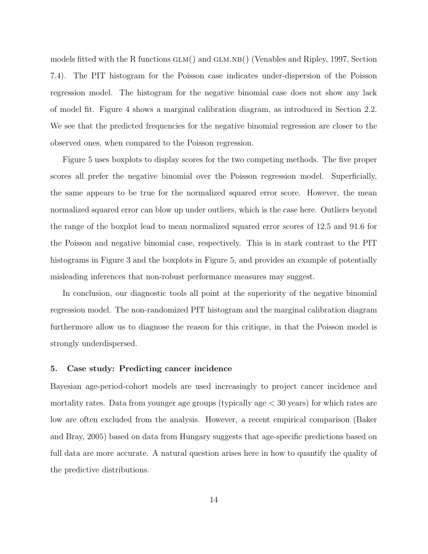models fitted with the R functions  $GLM()$  and  $GLM.NB()$  (Venables and Ripley, 1997, Section 7.4). The PIT histogram for the Poisson case indicates under-dispersion of the Poisson regression model. The histogram for the negative binomial case does not show any lack of model fit. Figure 4 shows a marginal calibration diagram, as introduced in Section 2.2. We see that the predicted frequencies for the negative binomial regression are closer to the observed ones, when compared to the Poisson regression.

Figure 5 uses boxplots to display scores for the two competing methods. The five proper scores all prefer the negative binomial over the Poisson regression model. Superficially, the same appears to be true for the normalized squared error score. However, the mean normalized squared error can blow up under outliers, which is the case here. Outliers beyond the range of the boxplot lead to mean normalized squared error scores of 12.5 and 91.6 for the Poisson and negative binomial case, respectively. This is in stark contrast to the PIT histograms in Figure 3 and the boxplots in Figure 5, and provides an example of potentially misleading inferences that non-robust performance measures may suggest.

In conclusion, our diagnostic tools all point at the superiority of the negative binomial regression model. The non-randomized PIT histogram and the marginal calibration diagram furthermore allow us to diagnose the reason for this critique, in that the Poisson model is strongly underdispersed.

# 5. Case study: Predicting cancer incidence

Bayesian age-period-cohort models are used increasingly to project cancer incidence and mortality rates. Data from younger age groups (typically age < 30 years) for which rates are low are often excluded from the analysis. However, a recent empirical comparison (Baker and Bray, 2005) based on data from Hungary suggests that age-specific predictions based on full data are more accurate. A natural question arises here in how to quantify the quality of the predictive distributions.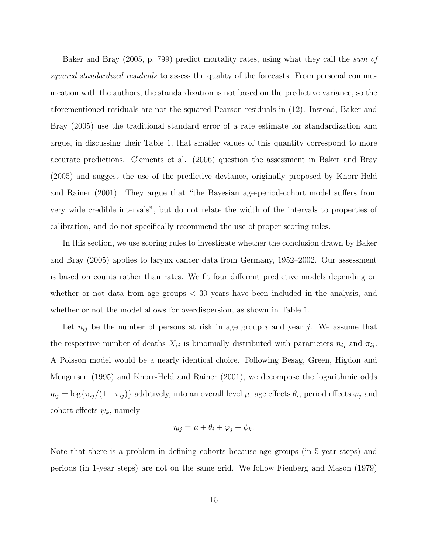Baker and Bray (2005, p. 799) predict mortality rates, using what they call the *sum of* squared standardized residuals to assess the quality of the forecasts. From personal communication with the authors, the standardization is not based on the predictive variance, so the aforementioned residuals are not the squared Pearson residuals in (12). Instead, Baker and Bray (2005) use the traditional standard error of a rate estimate for standardization and argue, in discussing their Table 1, that smaller values of this quantity correspond to more accurate predictions. Clements et al. (2006) question the assessment in Baker and Bray (2005) and suggest the use of the predictive deviance, originally proposed by Knorr-Held and Rainer (2001). They argue that "the Bayesian age-period-cohort model suffers from very wide credible intervals", but do not relate the width of the intervals to properties of calibration, and do not specifically recommend the use of proper scoring rules.

In this section, we use scoring rules to investigate whether the conclusion drawn by Baker and Bray (2005) applies to larynx cancer data from Germany, 1952–2002. Our assessment is based on counts rather than rates. We fit four different predictive models depending on whether or not data from age groups  $\langle 30 \rangle$  years have been included in the analysis, and whether or not the model allows for overdispersion, as shown in Table 1.

Let  $n_{ij}$  be the number of persons at risk in age group i and year j. We assume that the respective number of deaths  $X_{ij}$  is binomially distributed with parameters  $n_{ij}$  and  $\pi_{ij}$ . A Poisson model would be a nearly identical choice. Following Besag, Green, Higdon and Mengersen (1995) and Knorr-Held and Rainer (2001), we decompose the logarithmic odds  $\eta_{ij} = \log\{\pi_{ij}/(1-\pi_{ij})\}$  additively, into an overall level  $\mu$ , age effects  $\theta_i$ , period effects  $\varphi_j$  and cohort effects  $\psi_k$ , namely

$$
\eta_{ij} = \mu + \theta_i + \varphi_j + \psi_k.
$$

Note that there is a problem in defining cohorts because age groups (in 5-year steps) and periods (in 1-year steps) are not on the same grid. We follow Fienberg and Mason (1979)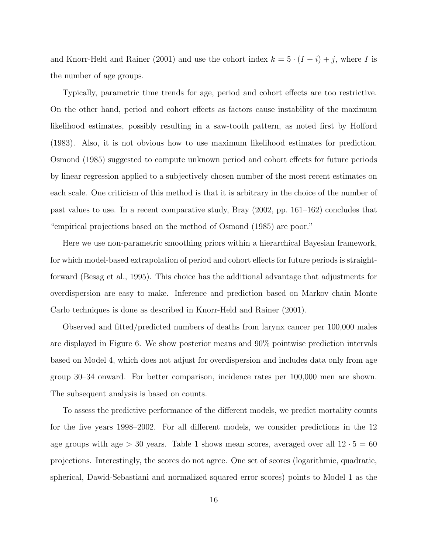and Knorr-Held and Rainer (2001) and use the cohort index  $k = 5 \cdot (I - i) + j$ , where I is the number of age groups.

Typically, parametric time trends for age, period and cohort effects are too restrictive. On the other hand, period and cohort effects as factors cause instability of the maximum likelihood estimates, possibly resulting in a saw-tooth pattern, as noted first by Holford (1983). Also, it is not obvious how to use maximum likelihood estimates for prediction. Osmond (1985) suggested to compute unknown period and cohort effects for future periods by linear regression applied to a subjectively chosen number of the most recent estimates on each scale. One criticism of this method is that it is arbitrary in the choice of the number of past values to use. In a recent comparative study, Bray (2002, pp. 161–162) concludes that "empirical projections based on the method of Osmond (1985) are poor."

Here we use non-parametric smoothing priors within a hierarchical Bayesian framework, for which model-based extrapolation of period and cohort effects for future periods is straightforward (Besag et al., 1995). This choice has the additional advantage that adjustments for overdispersion are easy to make. Inference and prediction based on Markov chain Monte Carlo techniques is done as described in Knorr-Held and Rainer (2001).

Observed and fitted/predicted numbers of deaths from larynx cancer per 100,000 males are displayed in Figure 6. We show posterior means and 90% pointwise prediction intervals based on Model 4, which does not adjust for overdispersion and includes data only from age group 30–34 onward. For better comparison, incidence rates per 100,000 men are shown. The subsequent analysis is based on counts.

To assess the predictive performance of the different models, we predict mortality counts for the five years 1998–2002. For all different models, we consider predictions in the 12 age groups with age  $> 30$  years. Table 1 shows mean scores, averaged over all  $12 \cdot 5 = 60$ projections. Interestingly, the scores do not agree. One set of scores (logarithmic, quadratic, spherical, Dawid-Sebastiani and normalized squared error scores) points to Model 1 as the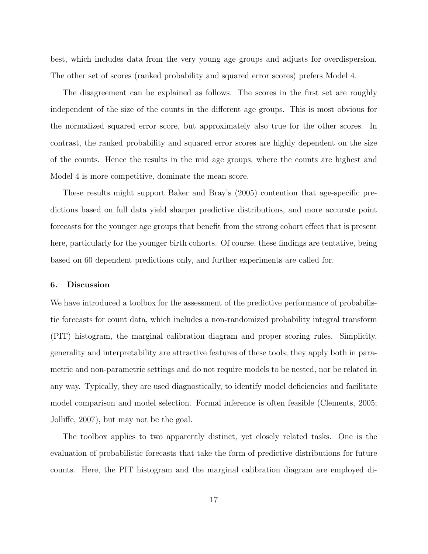best, which includes data from the very young age groups and adjusts for overdispersion. The other set of scores (ranked probability and squared error scores) prefers Model 4.

The disagreement can be explained as follows. The scores in the first set are roughly independent of the size of the counts in the different age groups. This is most obvious for the normalized squared error score, but approximately also true for the other scores. In contrast, the ranked probability and squared error scores are highly dependent on the size of the counts. Hence the results in the mid age groups, where the counts are highest and Model 4 is more competitive, dominate the mean score.

These results might support Baker and Bray's (2005) contention that age-specific predictions based on full data yield sharper predictive distributions, and more accurate point forecasts for the younger age groups that benefit from the strong cohort effect that is present here, particularly for the younger birth cohorts. Of course, these findings are tentative, being based on 60 dependent predictions only, and further experiments are called for.

#### 6. Discussion

We have introduced a toolbox for the assessment of the predictive performance of probabilistic forecasts for count data, which includes a non-randomized probability integral transform (PIT) histogram, the marginal calibration diagram and proper scoring rules. Simplicity, generality and interpretability are attractive features of these tools; they apply both in parametric and non-parametric settings and do not require models to be nested, nor be related in any way. Typically, they are used diagnostically, to identify model deficiencies and facilitate model comparison and model selection. Formal inference is often feasible (Clements, 2005; Jolliffe, 2007), but may not be the goal.

The toolbox applies to two apparently distinct, yet closely related tasks. One is the evaluation of probabilistic forecasts that take the form of predictive distributions for future counts. Here, the PIT histogram and the marginal calibration diagram are employed di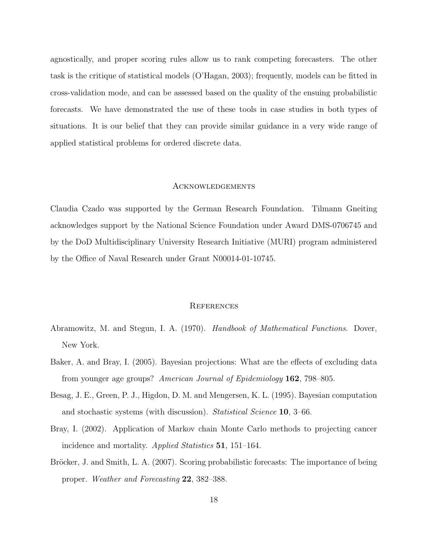agnostically, and proper scoring rules allow us to rank competing forecasters. The other task is the critique of statistical models (O'Hagan, 2003); frequently, models can be fitted in cross-validation mode, and can be assessed based on the quality of the ensuing probabilistic forecasts. We have demonstrated the use of these tools in case studies in both types of situations. It is our belief that they can provide similar guidance in a very wide range of applied statistical problems for ordered discrete data.

#### Acknowledgements

Claudia Czado was supported by the German Research Foundation. Tilmann Gneiting acknowledges support by the National Science Foundation under Award DMS-0706745 and by the DoD Multidisciplinary University Research Initiative (MURI) program administered by the Office of Naval Research under Grant N00014-01-10745.

#### **REFERENCES**

- Abramowitz, M. and Stegun, I. A. (1970). *Handbook of Mathematical Functions*. Dover, New York.
- Baker, A. and Bray, I. (2005). Bayesian projections: What are the effects of excluding data from younger age groups? American Journal of Epidemiology 162, 798–805.
- Besag, J. E., Green, P. J., Higdon, D. M. and Mengersen, K. L. (1995). Bayesian computation and stochastic systems (with discussion). Statistical Science 10, 3–66.
- Bray, I. (2002). Application of Markov chain Monte Carlo methods to projecting cancer incidence and mortality. Applied Statistics 51, 151–164.
- Bröcker, J. and Smith, L. A. (2007). Scoring probabilistic forecasts: The importance of being proper. Weather and Forecasting 22, 382–388.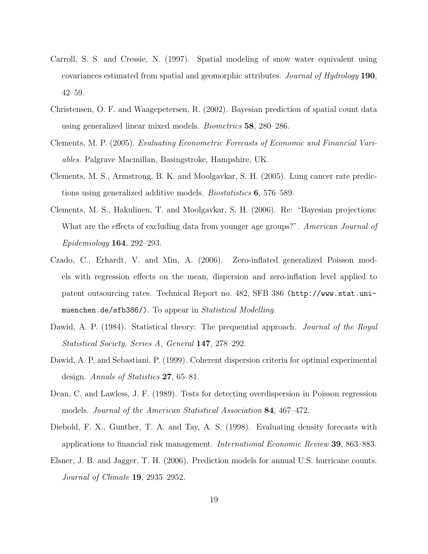- Carroll, S. S. and Cressie, N. (1997). Spatial modeling of snow water equivalent using covariances estimated from spatial and geomorphic attributes. Journal of Hydrology 190, 42–59.
- Christensen, O. F. and Waagepetersen, R. (2002). Bayesian prediction of spatial count data using generalized linear mixed models. Biometrics 58, 280–286.
- Clements, M. P. (2005). Evaluating Econometric Forecasts of Economic and Financial Variables. Palgrave Macmillan, Basingstroke, Hampshire, UK.
- Clements, M. S., Armstrong, B. K. and Moolgavkar, S. H. (2005). Lung cancer rate predictions using generalized additive models. Biostatistics 6, 576–589.
- Clements, M. S., Hakulinen, T. and Moolgavkar, S. H. (2006). Re: "Bayesian projections: What are the effects of excluding data from younger age groups?". American Journal of Epidemiology 164, 292–293.
- Czado, C., Erhardt, V. and Min, A. (2006). Zero-inflated generalized Poisson models with regression effects on the mean, dispersion and zero-inflation level applied to patent outsourcing rates. Technical Report no. 482, SFB 386 (http://www.stat.unimuenchen.de/sfb386/). To appear in *Statistical Modelling*.
- Dawid, A. P. (1984). Statistical theory: The prequential approach. *Journal of the Royal* Statistical Society, Series A, General 147, 278–292.
- Dawid, A. P. and Sebastiani, P. (1999). Coherent dispersion criteria for optimal experimental design. Annals of Statistics 27, 65–81.
- Dean, C. and Lawless, J. F. (1989). Tests for detecting overdispersion in Poisson regression models. Journal of the American Statistical Association 84, 467–472.
- Diebold, F. X., Gunther, T. A. and Tay, A. S. (1998). Evaluating density forecasts with applications to financial risk management. International Economic Review 39, 863–883.
- Elsner, J. B. and Jagger, T. H. (2006). Prediction models for annual U.S. hurricane counts. Journal of Climate 19, 2935–2952.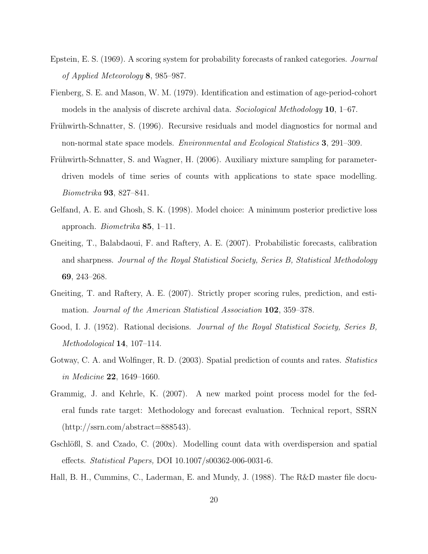- Epstein, E. S. (1969). A scoring system for probability forecasts of ranked categories. Journal of Applied Meteorology 8, 985–987.
- Fienberg, S. E. and Mason, W. M. (1979). Identification and estimation of age-period-cohort models in the analysis of discrete archival data. Sociological Methodology **10**, 1–67.
- Frühwirth-Schnatter, S. (1996). Recursive residuals and model diagnostics for normal and non-normal state space models. Environmental and Ecological Statistics 3, 291–309.
- Frühwirth-Schnatter, S. and Wagner, H. (2006). Auxiliary mixture sampling for parameterdriven models of time series of counts with applications to state space modelling. Biometrika 93, 827–841.
- Gelfand, A. E. and Ghosh, S. K. (1998). Model choice: A minimum posterior predictive loss approach. Biometrika 85, 1–11.
- Gneiting, T., Balabdaoui, F. and Raftery, A. E. (2007). Probabilistic forecasts, calibration and sharpness. Journal of the Royal Statistical Society, Series B, Statistical Methodology 69, 243–268.
- Gneiting, T. and Raftery, A. E. (2007). Strictly proper scoring rules, prediction, and estimation. Journal of the American Statistical Association 102, 359–378.
- Good, I. J. (1952). Rational decisions. *Journal of the Royal Statistical Society, Series B*, Methodological 14, 107–114.
- Gotway, C. A. and Wolfinger, R. D. (2003). Spatial prediction of counts and rates. Statistics in Medicine 22, 1649–1660.
- Grammig, J. and Kehrle, K. (2007). A new marked point process model for the federal funds rate target: Methodology and forecast evaluation. Technical report, SSRN  $(\text{http://ssrn.com/abstract=888543}).$
- Gschlößl, S. and Czado, C.  $(200x)$ . Modelling count data with overdispersion and spatial effects. Statistical Papers, DOI 10.1007/s00362-006-0031-6.
- Hall, B. H., Cummins, C., Laderman, E. and Mundy, J. (1988). The R&D master file docu-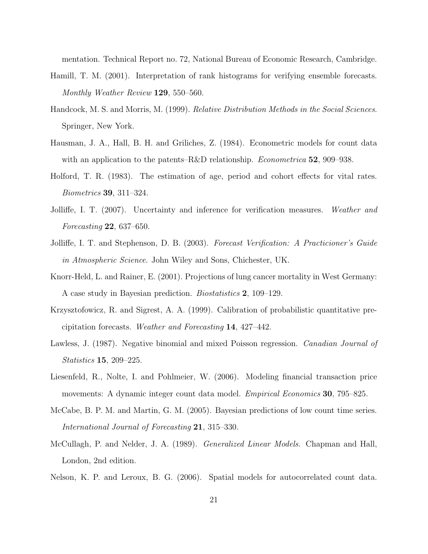mentation. Technical Report no. 72, National Bureau of Economic Research, Cambridge.

- Hamill, T. M. (2001). Interpretation of rank histograms for verifying ensemble forecasts. Monthly Weather Review 129, 550–560.
- Handcock, M. S. and Morris, M. (1999). *Relative Distribution Methods in the Social Sciences*. Springer, New York.
- Hausman, J. A., Hall, B. H. and Griliches, Z. (1984). Econometric models for count data with an application to the patents–R&D relationship. *Econometrica* **52**, 909–938.
- Holford, T. R. (1983). The estimation of age, period and cohort effects for vital rates. Biometrics 39, 311–324.
- Jolliffe, I. T. (2007). Uncertainty and inference for verification measures. Weather and Forecasting 22, 637–650.
- Jolliffe, I. T. and Stephenson, D. B. (2003). Forecast Verification: A Practicioner's Guide in Atmospheric Science. John Wiley and Sons, Chichester, UK.
- Knorr-Held, L. and Rainer, E. (2001). Projections of lung cancer mortality in West Germany: A case study in Bayesian prediction. Biostatistics 2, 109–129.
- Krzysztofowicz, R. and Sigrest, A. A. (1999). Calibration of probabilistic quantitative precipitation forecasts. Weather and Forecasting 14, 427–442.
- Lawless, J. (1987). Negative binomial and mixed Poisson regression. Canadian Journal of Statistics 15, 209–225.
- Liesenfeld, R., Nolte, I. and Pohlmeier, W. (2006). Modeling financial transaction price movements: A dynamic integer count data model. Empirical Economics 30, 795–825.
- McCabe, B. P. M. and Martin, G. M. (2005). Bayesian predictions of low count time series. International Journal of Forecasting 21, 315–330.
- McCullagh, P. and Nelder, J. A. (1989). Generalized Linear Models. Chapman and Hall, London, 2nd edition.
- Nelson, K. P. and Leroux, B. G. (2006). Spatial models for autocorrelated count data.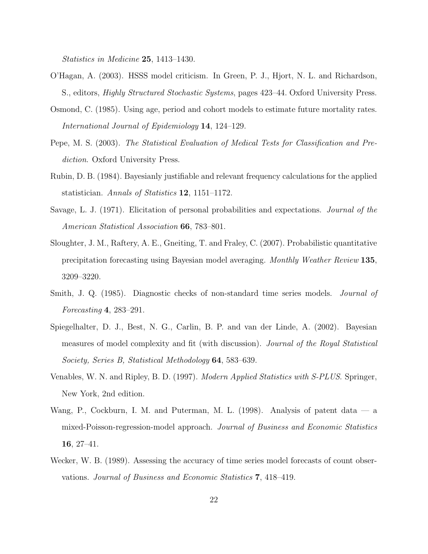Statistics in Medicine 25, 1413–1430.

- O'Hagan, A. (2003). HSSS model criticism. In Green, P. J., Hjort, N. L. and Richardson, S., editors, Highly Structured Stochastic Systems, pages 423–44. Oxford University Press.
- Osmond, C. (1985). Using age, period and cohort models to estimate future mortality rates. International Journal of Epidemiology 14, 124–129.
- Pepe, M. S. (2003). The Statistical Evaluation of Medical Tests for Classification and Prediction. Oxford University Press.
- Rubin, D. B. (1984). Bayesianly justifiable and relevant frequency calculations for the applied statistician. Annals of Statistics 12, 1151–1172.
- Savage, L. J. (1971). Elicitation of personal probabilities and expectations. Journal of the American Statistical Association 66, 783–801.
- Sloughter, J. M., Raftery, A. E., Gneiting, T. and Fraley, C. (2007). Probabilistic quantitative precipitation forecasting using Bayesian model averaging. Monthly Weather Review 135, 3209–3220.
- Smith, J. Q. (1985). Diagnostic checks of non-standard time series models. Journal of Forecasting 4, 283–291.
- Spiegelhalter, D. J., Best, N. G., Carlin, B. P. and van der Linde, A. (2002). Bayesian measures of model complexity and fit (with discussion). Journal of the Royal Statistical Society, Series B, Statistical Methodology 64, 583–639.
- Venables, W. N. and Ripley, B. D. (1997). Modern Applied Statistics with S-PLUS. Springer, New York, 2nd edition.
- Wang, P., Cockburn, I. M. and Puterman, M. L. (1998). Analysis of patent data a mixed-Poisson-regression-model approach. Journal of Business and Economic Statistics 16, 27–41.
- Wecker, W. B. (1989). Assessing the accuracy of time series model forecasts of count observations. Journal of Business and Economic Statistics 7, 418–419.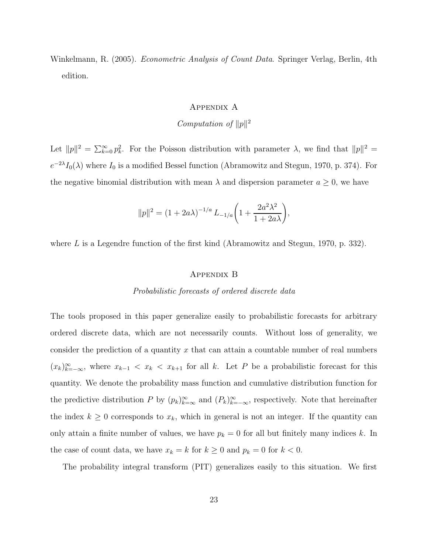Winkelmann, R. (2005). *Econometric Analysis of Count Data*. Springer Verlag, Berlin, 4th edition.

### Appendix A

# Computation of  $||p||^2$

Let  $||p||^2 = \sum_{k=0}^{\infty} p_k^2$ . For the Poisson distribution with parameter  $\lambda$ , we find that  $||p||^2 =$  $e^{-2\lambda}I_0(\lambda)$  where  $I_0$  is a modified Bessel function (Abramowitz and Stegun, 1970, p. 374). For the negative binomial distribution with mean  $\lambda$  and dispersion parameter  $a \geq 0$ , we have

$$
||p||^2 = (1 + 2a\lambda)^{-1/a} L_{-1/a} \left( 1 + \frac{2a^2\lambda^2}{1 + 2a\lambda} \right),
$$

where  $L$  is a Legendre function of the first kind (Abramowitz and Stegun, 1970, p. 332).

#### Appendix B

#### Probabilistic forecasts of ordered discrete data

The tools proposed in this paper generalize easily to probabilistic forecasts for arbitrary ordered discrete data, which are not necessarily counts. Without loss of generality, we consider the prediction of a quantity  $x$  that can attain a countable number of real numbers  $(x_k)_{k=-\infty}^{\infty}$ , where  $x_{k-1} < x_k < x_{k+1}$  for all k. Let P be a probabilistic forecast for this quantity. We denote the probability mass function and cumulative distribution function for the predictive distribution P by  $(p_k)_{k=-\infty}^{\infty}$  and  $(P_k)_{k=-\infty}^{\infty}$ , respectively. Note that hereinafter the index  $k \geq 0$  corresponds to  $x_k$ , which in general is not an integer. If the quantity can only attain a finite number of values, we have  $p_k = 0$  for all but finitely many indices k. In the case of count data, we have  $x_k = k$  for  $k \ge 0$  and  $p_k = 0$  for  $k < 0$ .

The probability integral transform (PIT) generalizes easily to this situation. We first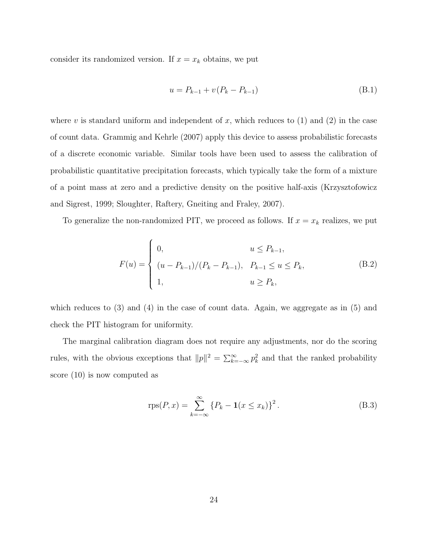consider its randomized version. If  $x = x_k$  obtains, we put

$$
u = P_{k-1} + v(P_k - P_{k-1})
$$
\n(B.1)

where v is standard uniform and independent of x, which reduces to  $(1)$  and  $(2)$  in the case of count data. Grammig and Kehrle (2007) apply this device to assess probabilistic forecasts of a discrete economic variable. Similar tools have been used to assess the calibration of probabilistic quantitative precipitation forecasts, which typically take the form of a mixture of a point mass at zero and a predictive density on the positive half-axis (Krzysztofowicz and Sigrest, 1999; Sloughter, Raftery, Gneiting and Fraley, 2007).

To generalize the non-randomized PIT, we proceed as follows. If  $x = x_k$  realizes, we put

$$
F(u) = \begin{cases} 0, & u \le P_{k-1}, \\ (u - P_{k-1})/(P_k - P_{k-1}), & P_{k-1} \le u \le P_k, \\ 1, & u \ge P_k, \end{cases}
$$
 (B.2)

which reduces to  $(3)$  and  $(4)$  in the case of count data. Again, we aggregate as in  $(5)$  and check the PIT histogram for uniformity.

The marginal calibration diagram does not require any adjustments, nor do the scoring rules, with the obvious exceptions that  $||p||^2 = \sum_{k=-\infty}^{\infty} p_k^2$  and that the ranked probability score (10) is now computed as

$$
rps(P, x) = \sum_{k=-\infty}^{\infty} \{P_k - \mathbf{1}(x \le x_k)\}^2.
$$
 (B.3)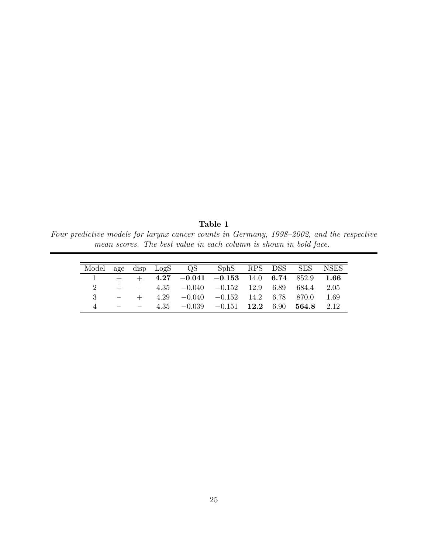Table 1 Four predictive models for larynx cancer counts in Germany, 1998–2002, and the respective mean scores. The best value in each column is shown in bold face.

|             |                                                                                 |  | Model age disp LogS QS SphS RPS DSS SES NSES    |  |       |
|-------------|---------------------------------------------------------------------------------|--|-------------------------------------------------|--|-------|
| $\sim$ 1    |                                                                                 |  | $+$ $+$ 4.27 -0.041 -0.153 14.0 6.74 852.9 1.66 |  |       |
| $2^{\circ}$ | $+$ $-$                                                                         |  | $4.35 -0.040 -0.152 -12.9 6.89 684.4$           |  | -2.05 |
| -3          |                                                                                 |  | $4.29 -0.040 -0.152 -14.2 6.78 870.0$           |  | 1.69  |
| $\Delta$    | $\mathcal{L} = \mathcal{L} \times \mathcal{L} = \mathcal{L} \times \mathcal{L}$ |  | $4.35 -0.039 -0.151$ 12.2 6.90 564.8            |  | 2.12  |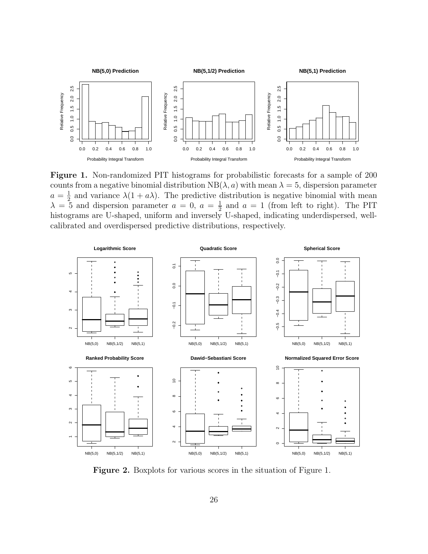

Figure 1. Non-randomized PIT histograms for probabilistic forecasts for a sample of 200 counts from a negative binomial distribution  $NB(\lambda, a)$  with mean  $\lambda = 5$ , dispersion parameter  $a=\frac{1}{2}$  $\frac{1}{2}$  and variance  $\lambda(1 + a\lambda)$ . The predictive distribution is negative binomial with mean  $\lambda = 5$  and dispersion parameter  $a = 0, a = \frac{1}{2}$  $\frac{1}{2}$  and  $a = 1$  (from left to right). The PIT histograms are U-shaped, uniform and inversely U-shaped, indicating underdispersed, wellcalibrated and overdispersed predictive distributions, respectively.



Figure 2. Boxplots for various scores in the situation of Figure 1.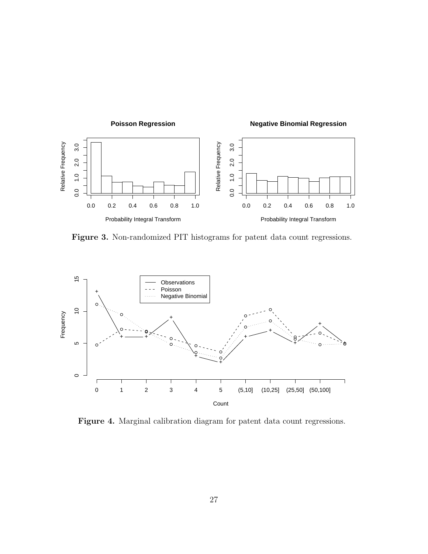

Figure 3. Non-randomized PIT histograms for patent data count regressions.



Figure 4. Marginal calibration diagram for patent data count regressions.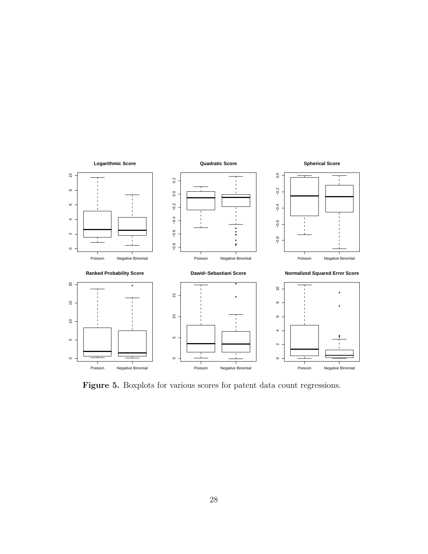

Figure 5. Boxplots for various scores for patent data count regressions.